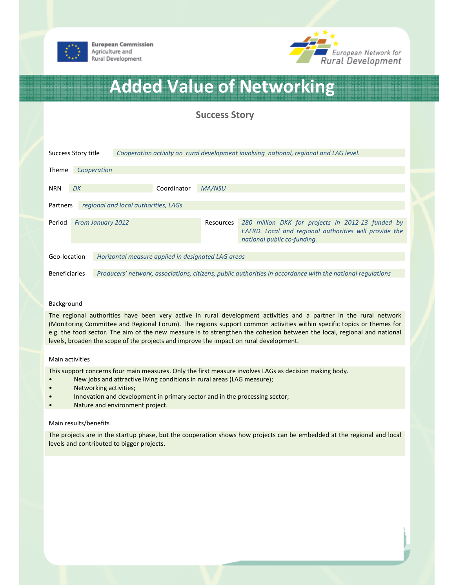

**European Commission** Agriculture and Rural Development



# Added Value of Networking

# Success Story

| Success Story title                                                |                          | Cooperation activity on rural development involving national, regional and LAG level.                      |               |                                                                                                                                            |
|--------------------------------------------------------------------|--------------------------|------------------------------------------------------------------------------------------------------------|---------------|--------------------------------------------------------------------------------------------------------------------------------------------|
| <b>Theme</b><br>Cooperation                                        |                          |                                                                                                            |               |                                                                                                                                            |
| <b>NRN</b>                                                         | DK                       | Coordinator                                                                                                | <b>MA/NSU</b> |                                                                                                                                            |
| regional and local authorities, LAGs<br>Partners                   |                          |                                                                                                            |               |                                                                                                                                            |
| Period                                                             | <b>From January 2012</b> |                                                                                                            | Resources     | 280 million DKK for projects in 2012-13 funded by<br>EAFRD. Local and regional authorities will provide the<br>national public co-funding. |
| Geo-location<br>Horizontal measure applied in designated LAG areas |                          |                                                                                                            |               |                                                                                                                                            |
| <b>Beneficiaries</b>                                               |                          | Producers' network, associations, citizens, public authorities in accordance with the national regulations |               |                                                                                                                                            |

## Background

The regional authorities have been very active in rural development activities and a partner in the rural network (Monitoring Committee and Regional Forum). The regions support common activities within specific topics or themes for e.g. the food sector. The aim of the new measure is to strengthen the cohesion between the local, regional and national levels, broaden the scope of the projects and improve the impact on rural development.

### Main activities

This support concerns four main measures. Only the first measure involves LAGs as decision making body.

- New jobs and attractive living conditions in rural areas (LAG measure);
- Networking activities;
- Innovation and development in primary sector and in the processing sector;
- Nature and environment project.

#### Main results/benefits

The projects are in the startup phase, but the cooperation shows how projects can be embedded at the regional and local levels and contributed to bigger projects.